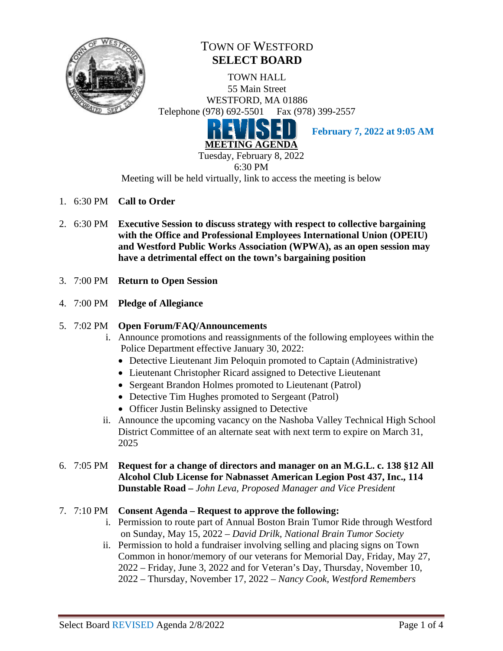

# TOWN OF WESTFORD **SELECT BOARD**

TOWN HALL 55 Main Street WESTFORD, MA 01886 Telephone (978) 692-5501 Fax (978) 399-2557



**February 7, 2022 at 9:05 AM**

6:30 PM

Meeting will be held virtually, link to access the meeting is below

- 1. 6:30 PM **Call to Order**
- 2. 6:30 PM **Executive Session to discuss strategy with respect to collective bargaining with the Office and Professional Employees International Union (OPEIU) and Westford Public Works Association (WPWA), as an open session may have a detrimental effect on the town's bargaining position**
- 3. 7:00 PM **Return to Open Session**
- 4. 7:00 PM **Pledge of Allegiance**
- 5. 7:02 PM **Open Forum/FAQ/Announcements**
	- i. Announce promotions and reassignments of the following employees within the Police Department effective January 30, 2022:
		- Detective Lieutenant Jim Peloquin promoted to Captain (Administrative)
		- Lieutenant Christopher Ricard assigned to Detective Lieutenant
		- Sergeant Brandon Holmes promoted to Lieutenant (Patrol)
		- Detective Tim Hughes promoted to Sergeant (Patrol)
		- Officer Justin Belinsky assigned to Detective
	- ii. Announce the upcoming vacancy on the Nashoba Valley Technical High School District Committee of an alternate seat with next term to expire on March 31, 2025
- 6. 7:05 PM **Request for a change of directors and manager on an M.G.L. c. 138 §12 All Alcohol Club License for Nabnasset American Legion Post 437, Inc., 114 Dunstable Road** *– John Leva, Proposed Manager and Vice President*

## 7. 7:10 PM **Consent Agenda – Request to approve the following:**

- i. Permission to route part of Annual Boston Brain Tumor Ride through Westford on Sunday, May 15, 2022 *– David Drilk, National Brain Tumor Society*
- ii. Permission to hold a fundraiser involving selling and placing signs on Town Common in honor/memory of our veterans for Memorial Day, Friday, May 27, 2022 – Friday, June 3, 2022 and for Veteran's Day, Thursday, November 10, 2022 – Thursday, November 17, 2022 – *Nancy Cook, Westford Remembers*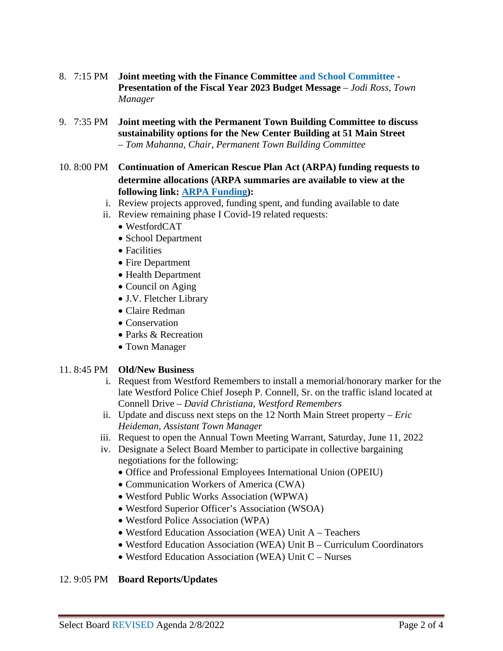- 8. 7:15 PM **Joint meeting with the Finance Committee and School Committee Presentation of the Fiscal Year 2023 Budget Message** *– Jodi Ross, Town Manager*
- 9. 7:35 PM **Joint meeting with the Permanent Town Building Committee to discuss sustainability options for the New Center Building at 51 Main Street** *– Tom Mahanna, Chair, Permanent Town Building Committee*
- 10. 8:00 PM **Continuation of American Rescue Plan Act (ARPA) funding requests to determine allocations** (**ARPA summaries are available to view at the following link: [ARPA Funding\)](https://westfordma.gov/DocumentCenter/Index/1279):**
	- i. Review projects approved, funding spent, and funding available to date
	- ii. Review remaining phase I Covid-19 related requests:
		- WestfordCAT
		- School Department
		- Facilities
		- Fire Department
		- Health Department
		- Council on Aging
		- J.V. Fletcher Library
		- Claire Redman
		- Conservation
		- Parks & Recreation
		- Town Manager

#### 11. 8:45 PM **Old/New Business**

- i. Request from Westford Remembers to install a memorial/honorary marker for the late Westford Police Chief Joseph P. Connell, Sr. on the traffic island located at Connell Drive *– David Christiana, Westford Remembers*
- ii. Update and discuss next steps on the 12 North Main Street property *– Eric Heideman, Assistant Town Manager*
- iii. Request to open the Annual Town Meeting Warrant, Saturday, June 11, 2022
- iv. Designate a Select Board Member to participate in collective bargaining negotiations for the following:
	- Office and Professional Employees International Union (OPEIU)
	- Communication Workers of America (CWA)
	- Westford Public Works Association (WPWA)
	- Westford Superior Officer's Association (WSOA)
	- Westford Police Association (WPA)
	- Westford Education Association (WEA) Unit A Teachers
	- Westford Education Association (WEA) Unit B Curriculum Coordinators
	- Westford Education Association (WEA) Unit C Nurses

#### 12. 9:05 PM **Board Reports/Updates**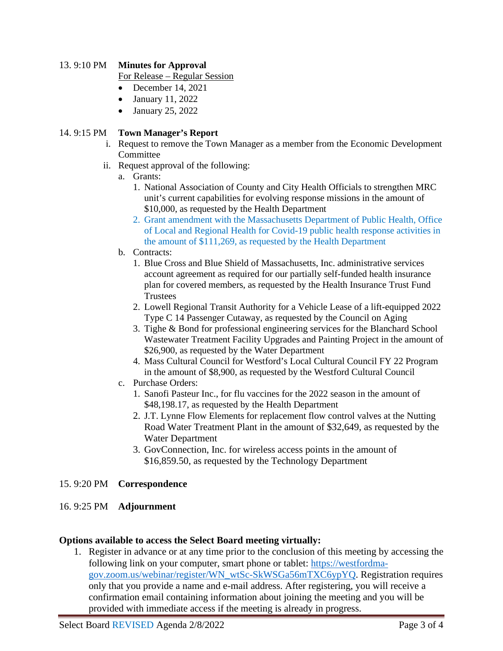#### 13. 9:10 PM **Minutes for Approval**

For Release – Regular Session

- December 14, 2021
- January 11, 2022
- January 25, 2022

#### 14. 9:15 PM **Town Manager's Report**

- i. Request to remove the Town Manager as a member from the Economic Development Committee
- ii. Request approval of the following:
	- a. Grants:
		- 1. National Association of County and City Health Officials to strengthen MRC unit's current capabilities for evolving response missions in the amount of \$10,000, as requested by the Health Department
		- 2. Grant amendment with the Massachusetts Department of Public Health, Office of Local and Regional Health for Covid-19 public health response activities in the amount of \$111,269, as requested by the Health Department
	- b. Contracts:
		- 1. Blue Cross and Blue Shield of Massachusetts, Inc. administrative services account agreement as required for our partially self-funded health insurance plan for covered members, as requested by the Health Insurance Trust Fund **Trustees**
		- 2. Lowell Regional Transit Authority for a Vehicle Lease of a lift-equipped 2022 Type C 14 Passenger Cutaway, as requested by the Council on Aging
		- 3. Tighe & Bond for professional engineering services for the Blanchard School Wastewater Treatment Facility Upgrades and Painting Project in the amount of \$26,900, as requested by the Water Department
		- 4. Mass Cultural Council for Westford's Local Cultural Council FY 22 Program in the amount of \$8,900, as requested by the Westford Cultural Council
	- c. Purchase Orders:
		- 1. Sanofi Pasteur Inc., for flu vaccines for the 2022 season in the amount of \$48,198.17, as requested by the Health Department
		- 2. J.T. Lynne Flow Elements for replacement flow control valves at the Nutting Road Water Treatment Plant in the amount of \$32,649, as requested by the Water Department
		- 3. GovConnection, Inc. for wireless access points in the amount of \$16,859.50, as requested by the Technology Department

#### 15. 9:20 PM **Correspondence**

## 16. 9:25 PM **Adjournment**

#### **Options available to access the Select Board meeting virtually:**

1. Register in advance or at any time prior to the conclusion of this meeting by accessing the following link on your computer, smart phone or tablet: [https://westfordma](https://westfordma-gov.zoom.us/webinar/register/WN_wtSc-SkWSGa56mTXC6ypYQ)[gov.zoom.us/webinar/register/WN\\_wtSc-SkWSGa56mTXC6ypYQ.](https://westfordma-gov.zoom.us/webinar/register/WN_wtSc-SkWSGa56mTXC6ypYQ) Registration requires only that you provide a name and e-mail address. After registering, you will receive a confirmation email containing information about joining the meeting and you will be provided with immediate access if the meeting is already in progress.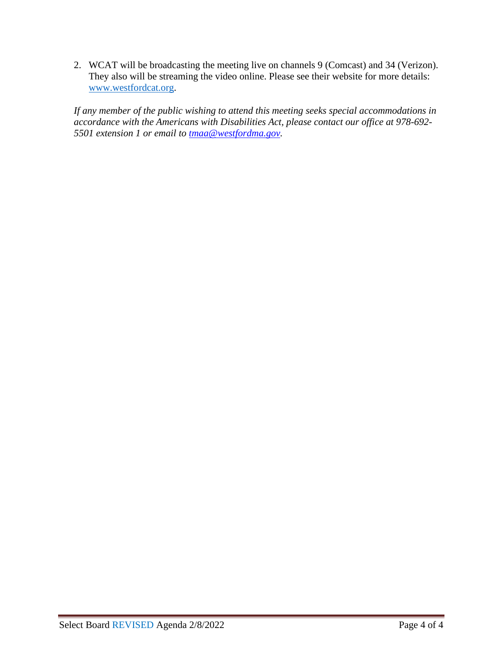2. WCAT will be broadcasting the meeting live on channels 9 (Comcast) and 34 (Verizon). They also will be streaming the video online. Please see their website for more details: [www.westfordcat.org.](http://www.westfordcat.org/)

*If any member of the public wishing to attend this meeting seeks special accommodations in accordance with the Americans with Disabilities Act, please contact our office at 978-692- 5501 extension 1 or email to [tmaa@westfordma.gov.](mailto:tmaa@westfordma.gov)*